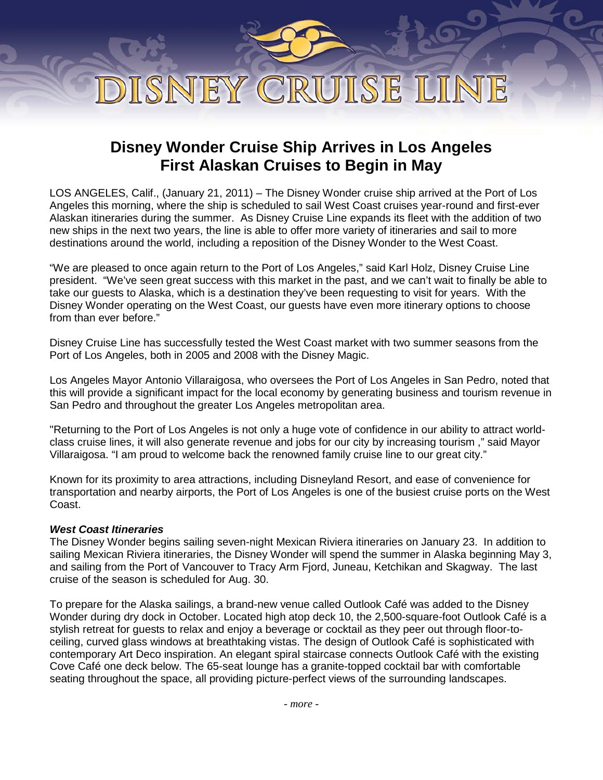# DISNEY CRUISE LINE

## **Disney Wonder Cruise Ship Arrives in Los Angeles First Alaskan Cruises to Begin in May**

LOS ANGELES, Calif., (January 21, 2011) – The Disney Wonder cruise ship arrived at the Port of Los Angeles this morning, where the ship is scheduled to sail West Coast cruises year-round and first-ever Alaskan itineraries during the summer. As Disney Cruise Line expands its fleet with the addition of two new ships in the next two years, the line is able to offer more variety of itineraries and sail to more destinations around the world, including a reposition of the Disney Wonder to the West Coast.

"We are pleased to once again return to the Port of Los Angeles," said Karl Holz, Disney Cruise Line president. "We've seen great success with this market in the past, and we can't wait to finally be able to take our guests to Alaska, which is a destination they've been requesting to visit for years. With the Disney Wonder operating on the West Coast, our guests have even more itinerary options to choose from than ever before."

Disney Cruise Line has successfully tested the West Coast market with two summer seasons from the Port of Los Angeles, both in 2005 and 2008 with the Disney Magic.

Los Angeles Mayor Antonio Villaraigosa, who oversees the Port of Los Angeles in San Pedro, noted that this will provide a significant impact for the local economy by generating business and tourism revenue in San Pedro and throughout the greater Los Angeles metropolitan area.

"Returning to the Port of Los Angeles is not only a huge vote of confidence in our ability to attract worldclass cruise lines, it will also generate revenue and jobs for our city by increasing tourism ," said Mayor Villaraigosa. "I am proud to welcome back the renowned family cruise line to our great city."

Known for its proximity to area attractions, including Disneyland Resort, and ease of convenience for transportation and nearby airports, the Port of Los Angeles is one of the busiest cruise ports on the West Coast.

### *West Coast Itineraries*

The Disney Wonder begins sailing seven-night Mexican Riviera itineraries on January 23. In addition to sailing Mexican Riviera itineraries, the Disney Wonder will spend the summer in Alaska beginning May 3, and sailing from the Port of Vancouver to Tracy Arm Fjord, Juneau, Ketchikan and Skagway. The last cruise of the season is scheduled for Aug. 30.

To prepare for the Alaska sailings, a brand-new venue called Outlook Café was added to the Disney Wonder during dry dock in October. Located high atop deck 10, the 2,500-square-foot Outlook Café is a stylish retreat for guests to relax and enjoy a beverage or cocktail as they peer out through floor-toceiling, curved glass windows at breathtaking vistas. The design of Outlook Café is sophisticated with contemporary Art Deco inspiration. An elegant spiral staircase connects Outlook Café with the existing Cove Café one deck below. The 65-seat lounge has a granite-topped cocktail bar with comfortable seating throughout the space, all providing picture-perfect views of the surrounding landscapes.